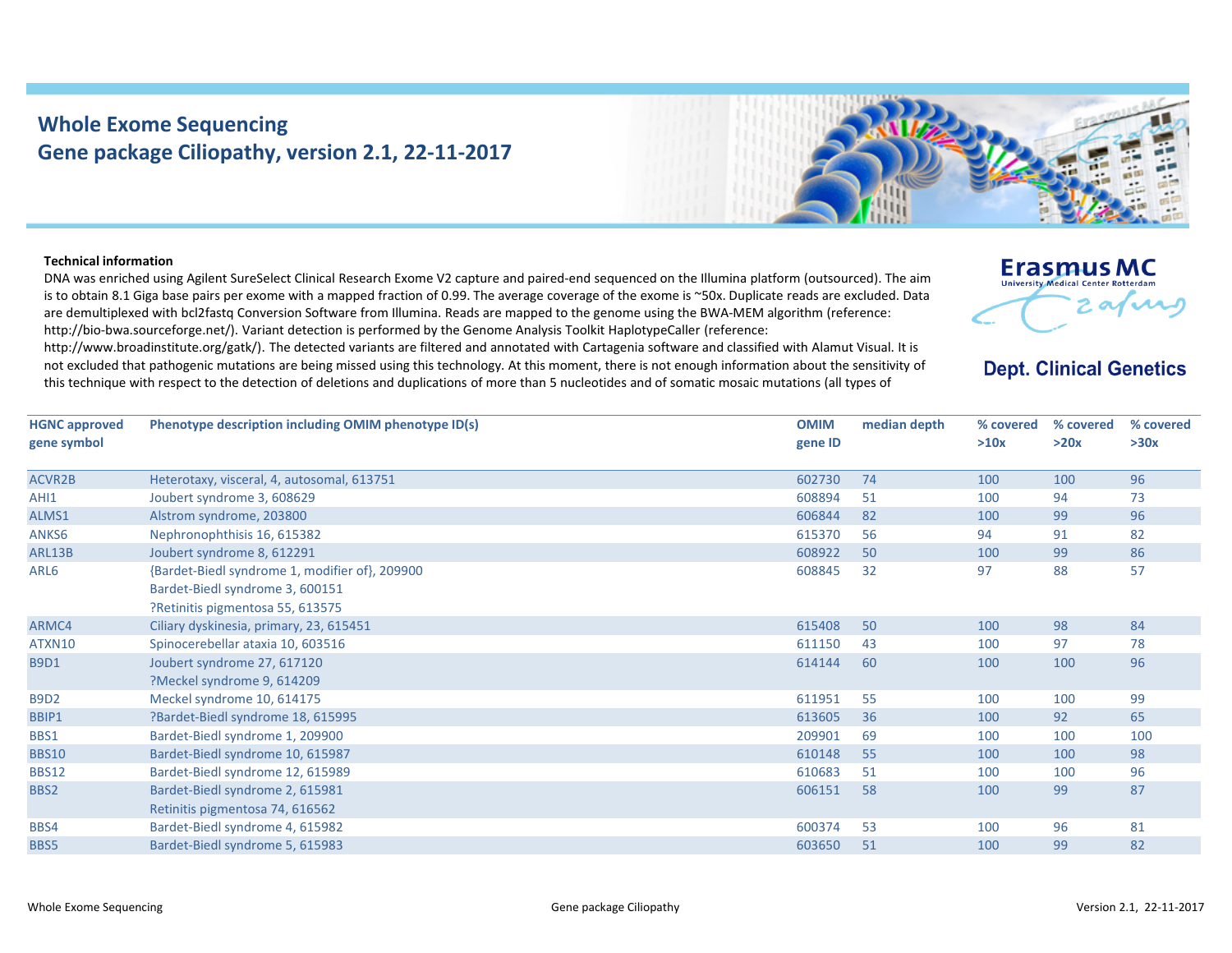## **Whole Exome Sequencing Gene package Ciliopathy, version 2.1, 22‐11‐2017**



## **Technical information**

DNA was enriched using Agilent SureSelect Clinical Research Exome V2 capture and paired‐end sequenced on the Illumina platform (outsourced). The aim is to obtain 8.1 Giga base pairs per exome with <sup>a</sup> mapped fraction of 0.99. The average coverage of the exome is ~50x. Duplicate reads are excluded. Data are demultiplexed with bcl2fastq Conversion Software from Illumina. Reads are mapped to the genome using the BWA‐MEM algorithm (reference: http://bio-bwa.sourceforge.net/). Variant detection is performed by the Genome Analysis Toolkit HaplotypeCaller (reference:

http://www.broadinstitute.org/gatk/). The detected variants are filtered and annotated with Cartagenia software and classified with Alamut Visual. It is not excluded that pathogenic mutations are being missed using this technology. At this moment, there is not enough information about the sensitivity of this technique with respect to the detection of deletions and duplications of more than 5 nucleotides and of somatic mosaic mutations (all types of



## **Dept. Clinical Genetics**

| <b>HGNC approved</b> | Phenotype description including OMIM phenotype ID(s) | <b>OMIM</b> | median depth | % covered | % covered | % covered |
|----------------------|------------------------------------------------------|-------------|--------------|-----------|-----------|-----------|
| gene symbol          |                                                      | gene ID     |              | >10x      | >20x      | >30x      |
|                      |                                                      |             |              |           |           |           |
| <b>ACVR2B</b>        | Heterotaxy, visceral, 4, autosomal, 613751           | 602730      | 74           | 100       | 100       | 96        |
| AHI1                 | Joubert syndrome 3, 608629                           | 608894      | 51           | 100       | 94        | 73        |
| ALMS1                | Alstrom syndrome, 203800                             | 606844      | 82           | 100       | 99        | 96        |
| ANKS6                | Nephronophthisis 16, 615382                          | 615370      | 56           | 94        | 91        | 82        |
| ARL13B               | Joubert syndrome 8, 612291                           | 608922      | 50           | 100       | 99        | 86        |
| ARL6                 | {Bardet-Biedl syndrome 1, modifier of}, 209900       | 608845      | 32           | 97        | 88        | 57        |
|                      | Bardet-Biedl syndrome 3, 600151                      |             |              |           |           |           |
|                      | ?Retinitis pigmentosa 55, 613575                     |             |              |           |           |           |
| ARMC4                | Ciliary dyskinesia, primary, 23, 615451              | 615408      | 50           | 100       | 98        | 84        |
| ATXN10               | Spinocerebellar ataxia 10, 603516                    | 611150      | 43           | 100       | 97        | 78        |
| <b>B9D1</b>          | Joubert syndrome 27, 617120                          | 614144      | 60           | 100       | 100       | 96        |
|                      | ?Meckel syndrome 9, 614209                           |             |              |           |           |           |
| <b>B9D2</b>          | Meckel syndrome 10, 614175                           | 611951      | 55           | 100       | 100       | 99        |
| BBIP1                | ?Bardet-Biedl syndrome 18, 615995                    | 613605      | 36           | 100       | 92        | 65        |
| BBS1                 | Bardet-Biedl syndrome 1, 209900                      | 209901      | 69           | 100       | 100       | 100       |
| <b>BBS10</b>         | Bardet-Biedl syndrome 10, 615987                     | 610148      | 55           | 100       | 100       | 98        |
| <b>BBS12</b>         | Bardet-Biedl syndrome 12, 615989                     | 610683      | 51           | 100       | 100       | 96        |
| BBS2                 | Bardet-Biedl syndrome 2, 615981                      | 606151      | 58           | 100       | 99        | 87        |
|                      | Retinitis pigmentosa 74, 616562                      |             |              |           |           |           |
| BBS4                 | Bardet-Biedl syndrome 4, 615982                      | 600374      | 53           | 100       | 96        | 81        |
| BBS5                 | Bardet-Biedl syndrome 5, 615983                      | 603650      | 51           | 100       | 99        | 82        |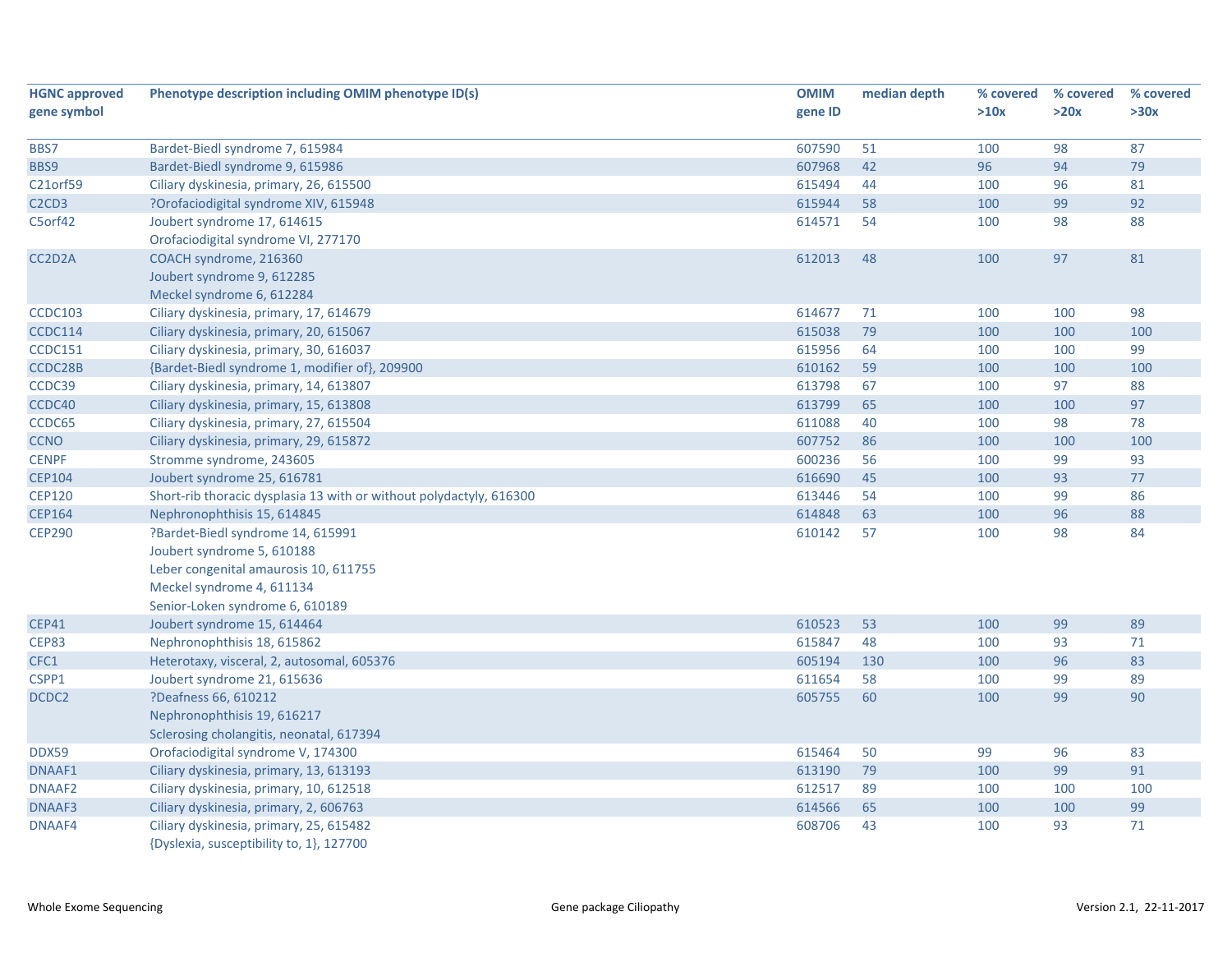| <b>HGNC approved</b>                       | Phenotype description including OMIM phenotype ID(s)                | <b>OMIM</b> | median depth | % covered | % covered | % covered |
|--------------------------------------------|---------------------------------------------------------------------|-------------|--------------|-----------|-----------|-----------|
| gene symbol                                |                                                                     | gene ID     |              | >10x      | >20x      | >30x      |
|                                            |                                                                     |             |              |           |           |           |
| BBS7                                       | Bardet-Biedl syndrome 7, 615984                                     | 607590      | 51           | 100       | 98        | 87        |
| BBS9                                       | Bardet-Biedl syndrome 9, 615986                                     | 607968      | 42           | 96        | 94        | 79        |
| C21orf59                                   | Ciliary dyskinesia, primary, 26, 615500                             | 615494      | 44           | 100       | 96        | 81        |
| C <sub>2</sub> C <sub>D</sub> <sub>3</sub> | ?Orofaciodigital syndrome XIV, 615948                               | 615944      | 58           | 100       | 99        | 92        |
| C5orf42                                    | Joubert syndrome 17, 614615                                         | 614571      | 54           | 100       | 98        | 88        |
|                                            | Orofaciodigital syndrome VI, 277170                                 |             |              |           |           |           |
| CC2D2A                                     | COACH syndrome, 216360                                              | 612013      | 48           | 100       | 97        | 81        |
|                                            | Joubert syndrome 9, 612285                                          |             |              |           |           |           |
|                                            | Meckel syndrome 6, 612284                                           |             |              |           |           |           |
| <b>CCDC103</b>                             | Ciliary dyskinesia, primary, 17, 614679                             | 614677      | 71           | 100       | 100       | 98        |
| CCDC114                                    | Ciliary dyskinesia, primary, 20, 615067                             | 615038      | 79           | 100       | 100       | 100       |
| CCDC151                                    | Ciliary dyskinesia, primary, 30, 616037                             | 615956      | 64           | 100       | 100       | 99        |
| CCDC28B                                    | {Bardet-Biedl syndrome 1, modifier of}, 209900                      | 610162      | 59           | 100       | 100       | 100       |
| CCDC39                                     | Ciliary dyskinesia, primary, 14, 613807                             | 613798      | 67           | 100       | 97        | 88        |
| CCDC40                                     | Ciliary dyskinesia, primary, 15, 613808                             | 613799      | 65           | 100       | 100       | 97        |
| CCDC65                                     | Ciliary dyskinesia, primary, 27, 615504                             | 611088      | 40           | 100       | 98        | 78        |
| <b>CCNO</b>                                | Ciliary dyskinesia, primary, 29, 615872                             | 607752      | 86           | 100       | 100       | 100       |
| <b>CENPF</b>                               | Stromme syndrome, 243605                                            | 600236      | 56           | 100       | 99        | 93        |
| <b>CEP104</b>                              | Joubert syndrome 25, 616781                                         | 616690      | 45           | 100       | 93        | $77$      |
| <b>CEP120</b>                              | Short-rib thoracic dysplasia 13 with or without polydactyly, 616300 | 613446      | 54           | 100       | 99        | 86        |
| <b>CEP164</b>                              | Nephronophthisis 15, 614845                                         | 614848      | 63           | 100       | 96        | 88        |
| <b>CEP290</b>                              | ?Bardet-Biedl syndrome 14, 615991                                   | 610142      | 57           | 100       | 98        | 84        |
|                                            | Joubert syndrome 5, 610188                                          |             |              |           |           |           |
|                                            | Leber congenital amaurosis 10, 611755                               |             |              |           |           |           |
|                                            | Meckel syndrome 4, 611134                                           |             |              |           |           |           |
|                                            | Senior-Loken syndrome 6, 610189                                     |             |              |           |           |           |
| <b>CEP41</b>                               | Joubert syndrome 15, 614464                                         | 610523      | 53           | 100       | 99        | 89        |
| <b>CEP83</b>                               | Nephronophthisis 18, 615862                                         | 615847      | 48           | 100       | 93        | 71        |
| CFC1                                       | Heterotaxy, visceral, 2, autosomal, 605376                          | 605194      | 130          | 100       | 96        | 83        |
| CSPP1                                      | Joubert syndrome 21, 615636                                         | 611654      | 58           | 100       | 99        | 89        |
| DCDC2                                      | ?Deafness 66, 610212                                                | 605755      | 60           | 100       | 99        | 90        |
|                                            | Nephronophthisis 19, 616217                                         |             |              |           |           |           |
|                                            | Sclerosing cholangitis, neonatal, 617394                            |             |              |           |           |           |
| DDX59                                      | Orofaciodigital syndrome V, 174300                                  | 615464      | 50           | 99        | 96        | 83        |
| DNAAF1                                     | Ciliary dyskinesia, primary, 13, 613193                             | 613190      | 79           | 100       | 99        | 91        |
| DNAAF <sub>2</sub>                         | Ciliary dyskinesia, primary, 10, 612518                             | 612517      | 89           | 100       | 100       | 100       |
| DNAAF3                                     | Ciliary dyskinesia, primary, 2, 606763                              | 614566      | 65           | 100       | 100       | 99        |
| DNAAF4                                     | Ciliary dyskinesia, primary, 25, 615482                             | 608706      | 43           | 100       | 93        | 71        |
|                                            | {Dyslexia, susceptibility to, 1}, 127700                            |             |              |           |           |           |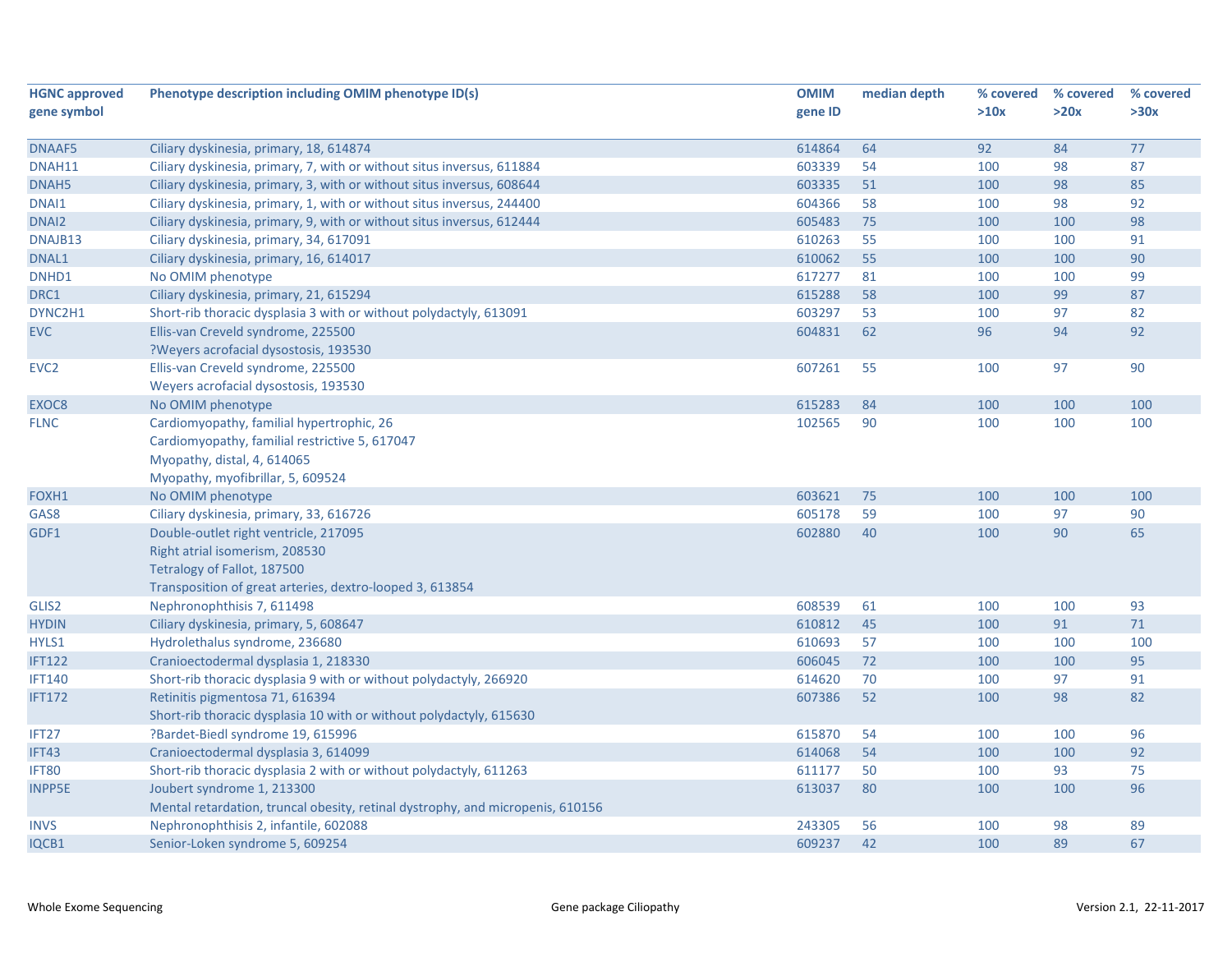| <b>HGNC approved</b> | Phenotype description including OMIM phenotype ID(s)                           | <b>OMIM</b> | median depth | % covered | % covered | % covered |
|----------------------|--------------------------------------------------------------------------------|-------------|--------------|-----------|-----------|-----------|
| gene symbol          |                                                                                | gene ID     |              | >10x      | >20x      | >30x      |
|                      |                                                                                |             |              |           |           |           |
| DNAAF5               | Ciliary dyskinesia, primary, 18, 614874                                        | 614864      | 64           | 92        | 84        | 77        |
| DNAH11               | Ciliary dyskinesia, primary, 7, with or without situs inversus, 611884         | 603339      | 54           | 100       | 98        | 87        |
| DNAH5                | Ciliary dyskinesia, primary, 3, with or without situs inversus, 608644         | 603335      | 51           | 100       | 98        | 85        |
| DNAI1                | Ciliary dyskinesia, primary, 1, with or without situs inversus, 244400         | 604366      | 58           | 100       | 98        | 92        |
| DNAI <sub>2</sub>    | Ciliary dyskinesia, primary, 9, with or without situs inversus, 612444         | 605483      | 75           | 100       | 100       | 98        |
| DNAJB13              | Ciliary dyskinesia, primary, 34, 617091                                        | 610263      | 55           | 100       | 100       | 91        |
| DNAL1                | Ciliary dyskinesia, primary, 16, 614017                                        | 610062      | 55           | 100       | 100       | 90        |
| DNHD1                | No OMIM phenotype                                                              | 617277      | 81           | 100       | 100       | 99        |
| DRC1                 | Ciliary dyskinesia, primary, 21, 615294                                        | 615288      | 58           | 100       | 99        | 87        |
| DYNC2H1              | Short-rib thoracic dysplasia 3 with or without polydactyly, 613091             | 603297      | 53           | 100       | 97        | 82        |
| <b>EVC</b>           | Ellis-van Creveld syndrome, 225500                                             | 604831      | 62           | 96        | 94        | 92        |
|                      | ?Weyers acrofacial dysostosis, 193530                                          |             |              |           |           |           |
| EVC <sub>2</sub>     | Ellis-van Creveld syndrome, 225500                                             | 607261      | 55           | 100       | 97        | 90        |
|                      | Weyers acrofacial dysostosis, 193530                                           |             |              |           |           |           |
| EXOC8                | No OMIM phenotype                                                              | 615283      | 84           | 100       | 100       | 100       |
| <b>FLNC</b>          | Cardiomyopathy, familial hypertrophic, 26                                      | 102565      | 90           | 100       | 100       | 100       |
|                      | Cardiomyopathy, familial restrictive 5, 617047                                 |             |              |           |           |           |
|                      | Myopathy, distal, 4, 614065                                                    |             |              |           |           |           |
|                      | Myopathy, myofibrillar, 5, 609524                                              |             |              |           |           |           |
| FOXH1                | No OMIM phenotype                                                              | 603621      | 75           | 100       | 100       | 100       |
| GAS8                 | Ciliary dyskinesia, primary, 33, 616726                                        | 605178      | 59           | 100       | 97        | 90        |
| GDF1                 | Double-outlet right ventricle, 217095                                          | 602880      | 40           | 100       | 90        | 65        |
|                      | Right atrial isomerism, 208530                                                 |             |              |           |           |           |
|                      | Tetralogy of Fallot, 187500                                                    |             |              |           |           |           |
|                      | Transposition of great arteries, dextro-looped 3, 613854                       |             |              |           |           |           |
| GLIS2                | Nephronophthisis 7, 611498                                                     | 608539      | 61           | 100       | 100       | 93        |
| <b>HYDIN</b>         | Ciliary dyskinesia, primary, 5, 608647                                         | 610812      | 45           | 100       | 91        | 71        |
| HYLS1                | Hydrolethalus syndrome, 236680                                                 | 610693      | 57           | 100       | 100       | 100       |
| <b>IFT122</b>        | Cranioectodermal dysplasia 1, 218330                                           | 606045      | 72           | 100       | 100       | 95        |
| <b>IFT140</b>        | Short-rib thoracic dysplasia 9 with or without polydactyly, 266920             | 614620      | 70           | 100       | 97        | 91        |
| <b>IFT172</b>        | Retinitis pigmentosa 71, 616394                                                | 607386      | 52           | 100       | 98        | 82        |
|                      | Short-rib thoracic dysplasia 10 with or without polydactyly, 615630            |             |              |           |           |           |
| IFT <sub>27</sub>    | ?Bardet-Biedl syndrome 19, 615996                                              | 615870      | 54           | 100       | 100       | 96        |
| IFT43                | Cranioectodermal dysplasia 3, 614099                                           | 614068      | 54           | 100       | 100       | 92        |
| IFT80                | Short-rib thoracic dysplasia 2 with or without polydactyly, 611263             | 611177      | 50           | 100       | 93        | 75        |
| <b>INPP5E</b>        | Joubert syndrome 1, 213300                                                     | 613037      | 80           | 100       | 100       | 96        |
|                      | Mental retardation, truncal obesity, retinal dystrophy, and micropenis, 610156 |             |              |           |           |           |
| <b>INVS</b>          | Nephronophthisis 2, infantile, 602088                                          | 243305      | 56           | 100       | 98        | 89        |
|                      |                                                                                |             |              |           |           |           |
| IQCB1                | Senior-Loken syndrome 5, 609254                                                | 609237      | 42           | 100       | 89        | 67        |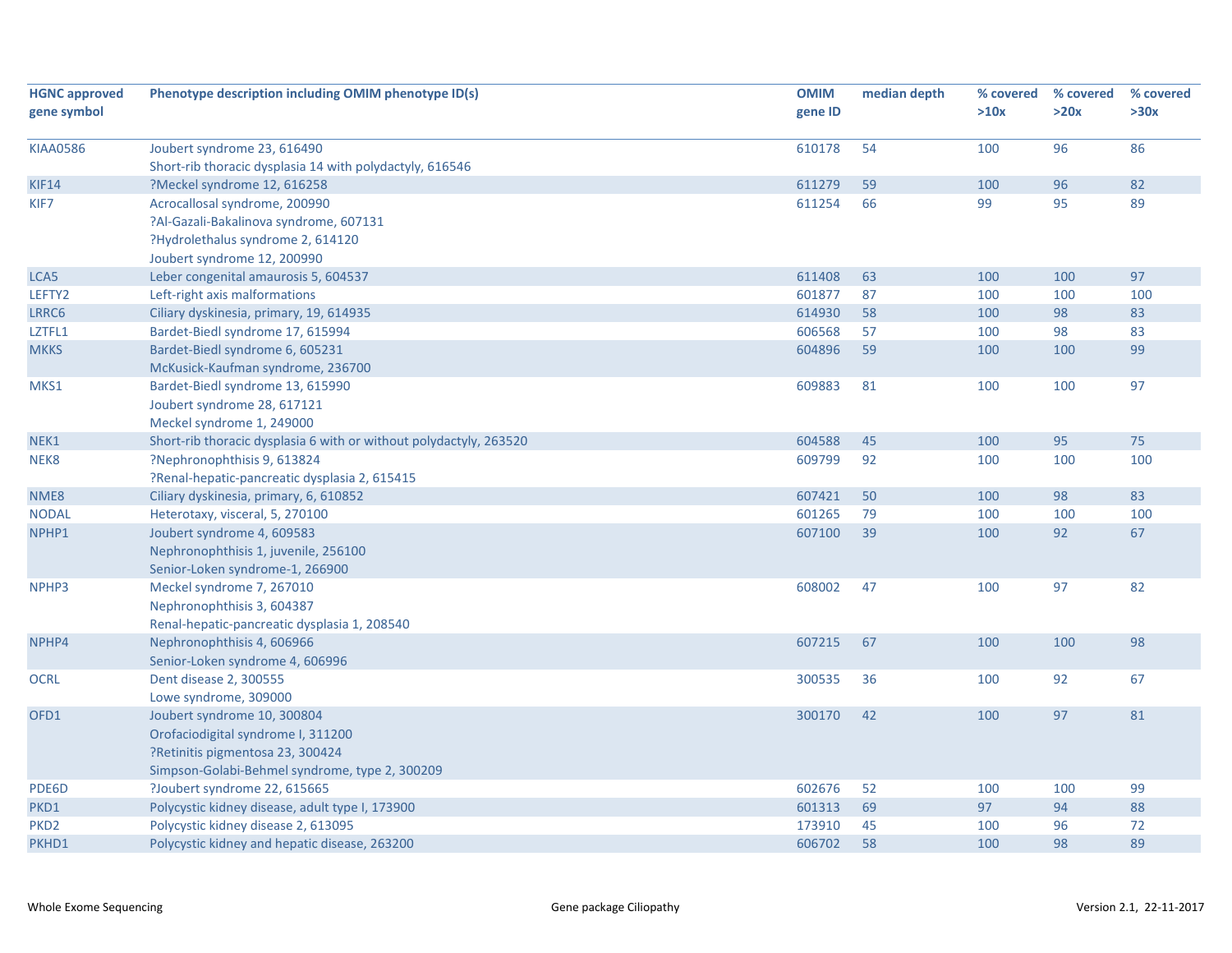| <b>HGNC approved</b> | Phenotype description including OMIM phenotype ID(s)               | <b>OMIM</b> | median depth | % covered | % covered | % covered |
|----------------------|--------------------------------------------------------------------|-------------|--------------|-----------|-----------|-----------|
| gene symbol          |                                                                    | gene ID     |              | >10x      | >20x      | >30x      |
|                      |                                                                    |             |              |           |           |           |
| <b>KIAA0586</b>      | Joubert syndrome 23, 616490                                        | 610178      | 54           | 100       | 96        | 86        |
|                      | Short-rib thoracic dysplasia 14 with polydactyly, 616546           |             |              |           |           |           |
| KIF14                | ?Meckel syndrome 12, 616258                                        | 611279      | 59           | 100       | 96        | 82        |
| KIF7                 | Acrocallosal syndrome, 200990                                      | 611254      | 66           | 99        | 95        | 89        |
|                      | ?Al-Gazali-Bakalinova syndrome, 607131                             |             |              |           |           |           |
|                      | ?Hydrolethalus syndrome 2, 614120                                  |             |              |           |           |           |
|                      | Joubert syndrome 12, 200990                                        |             |              |           |           |           |
| LCA5                 | Leber congenital amaurosis 5, 604537                               | 611408      | 63           | 100       | 100       | 97        |
| LEFTY2               | Left-right axis malformations                                      | 601877      | 87           | 100       | 100       | 100       |
| LRRC6                | Ciliary dyskinesia, primary, 19, 614935                            | 614930      | 58           | 100       | 98        | 83        |
| LZTFL1               | Bardet-Biedl syndrome 17, 615994                                   | 606568      | 57           | 100       | 98        | 83        |
| <b>MKKS</b>          | Bardet-Biedl syndrome 6, 605231                                    | 604896      | 59           | 100       | 100       | 99        |
|                      | McKusick-Kaufman syndrome, 236700                                  |             |              |           |           |           |
| MKS1                 | Bardet-Biedl syndrome 13, 615990                                   | 609883      | 81           | 100       | 100       | 97        |
|                      | Joubert syndrome 28, 617121                                        |             |              |           |           |           |
|                      | Meckel syndrome 1, 249000                                          |             |              |           |           |           |
| NEK1                 | Short-rib thoracic dysplasia 6 with or without polydactyly, 263520 | 604588      | 45           | 100       | 95        | 75        |
| NEK8                 | ?Nephronophthisis 9, 613824                                        | 609799      | 92           | 100       | 100       | 100       |
|                      | ?Renal-hepatic-pancreatic dysplasia 2, 615415                      |             |              |           |           |           |
| NME8                 | Ciliary dyskinesia, primary, 6, 610852                             | 607421      | 50           | 100       | 98        | 83        |
| <b>NODAL</b>         | Heterotaxy, visceral, 5, 270100                                    | 601265      | 79           | 100       | 100       | 100       |
| NPHP1                | Joubert syndrome 4, 609583                                         | 607100      | 39           | 100       | 92        | 67        |
|                      | Nephronophthisis 1, juvenile, 256100                               |             |              |           |           |           |
|                      | Senior-Loken syndrome-1, 266900                                    |             |              |           |           |           |
| NPHP3                | Meckel syndrome 7, 267010                                          | 608002      | 47           | 100       | 97        | 82        |
|                      | Nephronophthisis 3, 604387                                         |             |              |           |           |           |
|                      | Renal-hepatic-pancreatic dysplasia 1, 208540                       |             |              |           |           |           |
| NPHP4                | Nephronophthisis 4, 606966                                         | 607215      | 67           | 100       | 100       | 98        |
|                      | Senior-Loken syndrome 4, 606996                                    |             |              |           |           |           |
| <b>OCRL</b>          | Dent disease 2, 300555                                             | 300535      | 36           | 100       | 92        | 67        |
|                      | Lowe syndrome, 309000                                              |             |              |           |           |           |
| OFD1                 | Joubert syndrome 10, 300804                                        | 300170      | 42           | 100       | 97        | 81        |
|                      | Orofaciodigital syndrome I, 311200                                 |             |              |           |           |           |
|                      | ?Retinitis pigmentosa 23, 300424                                   |             |              |           |           |           |
|                      | Simpson-Golabi-Behmel syndrome, type 2, 300209                     |             |              |           |           |           |
| PDE6D                | ?Joubert syndrome 22, 615665                                       | 602676      | 52           | 100       | 100       | 99        |
| PKD1                 | Polycystic kidney disease, adult type I, 173900                    | 601313      | 69           | 97        | 94        | 88        |
| PKD <sub>2</sub>     | Polycystic kidney disease 2, 613095                                | 173910      | 45           | 100       | 96        | 72        |
| PKHD1                | Polycystic kidney and hepatic disease, 263200                      | 606702      | 58           | 100       | 98        | 89        |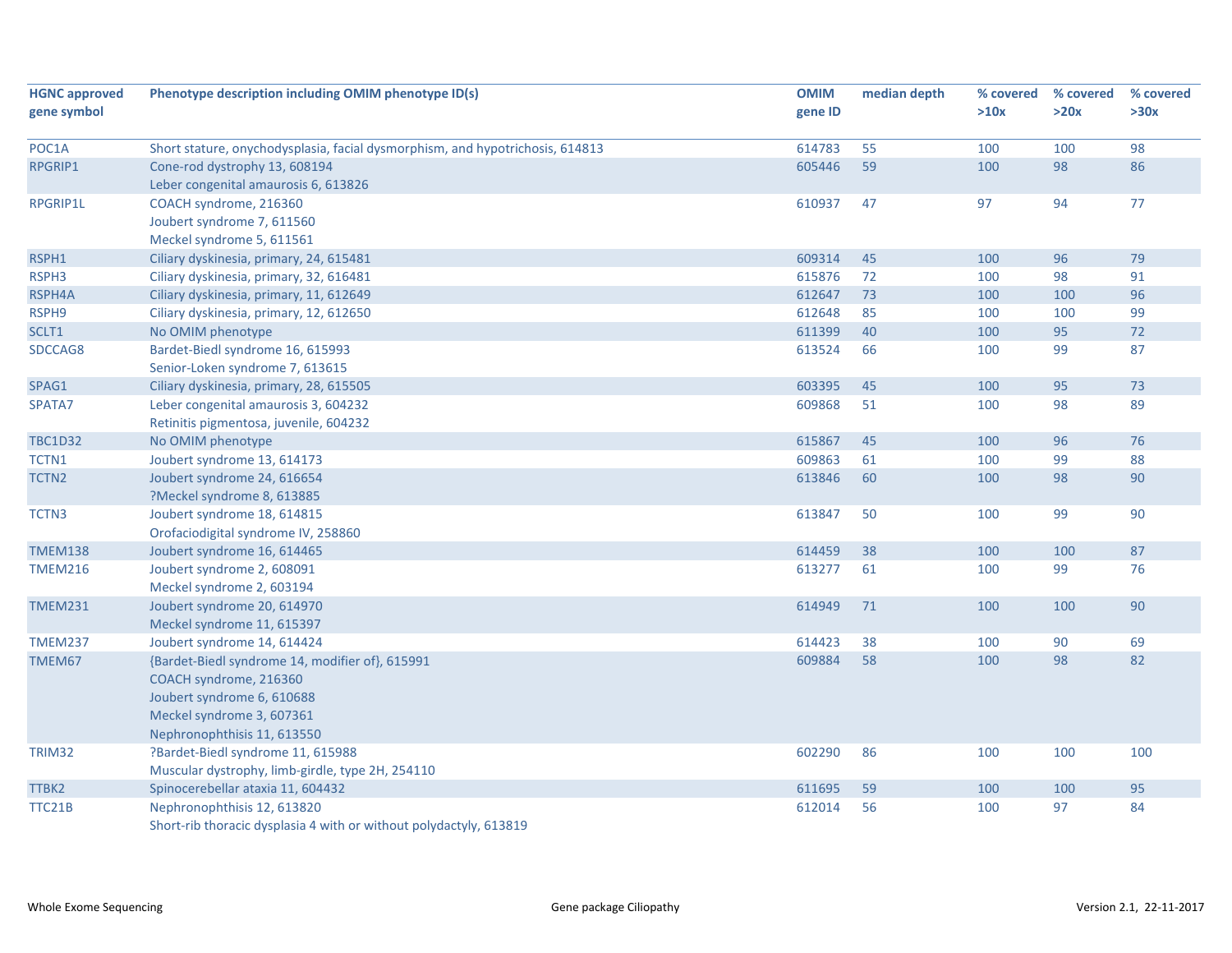| <b>HGNC approved</b> | Phenotype description including OMIM phenotype ID(s)                          | <b>OMIM</b> | median depth | % covered | % covered | % covered |
|----------------------|-------------------------------------------------------------------------------|-------------|--------------|-----------|-----------|-----------|
| gene symbol          |                                                                               | gene ID     |              | >10x      | >20x      | >30x      |
|                      |                                                                               |             |              |           |           |           |
| POC1A                | Short stature, onychodysplasia, facial dysmorphism, and hypotrichosis, 614813 | 614783      | 55           | 100       | 100       | 98        |
| RPGRIP1              | Cone-rod dystrophy 13, 608194                                                 | 605446      | 59           | 100       | 98        | 86        |
|                      | Leber congenital amaurosis 6, 613826                                          |             |              |           |           |           |
| RPGRIP1L             | COACH syndrome, 216360                                                        | 610937      | 47           | 97        | 94        | 77        |
|                      | Joubert syndrome 7, 611560                                                    |             |              |           |           |           |
|                      | Meckel syndrome 5, 611561                                                     |             |              |           |           |           |
| RSPH1                | Ciliary dyskinesia, primary, 24, 615481                                       | 609314      | 45           | 100       | 96        | 79        |
| RSPH3                | Ciliary dyskinesia, primary, 32, 616481                                       | 615876      | 72           | 100       | 98        | 91        |
| RSPH4A               | Ciliary dyskinesia, primary, 11, 612649                                       | 612647      | 73           | 100       | 100       | 96        |
| RSPH9                | Ciliary dyskinesia, primary, 12, 612650                                       | 612648      | 85           | 100       | 100       | 99        |
| SCLT1                | No OMIM phenotype                                                             | 611399      | 40           | 100       | 95        | 72        |
| SDCCAG8              | Bardet-Biedl syndrome 16, 615993                                              | 613524      | 66           | 100       | 99        | 87        |
|                      | Senior-Loken syndrome 7, 613615                                               |             |              |           |           |           |
| SPAG1                | Ciliary dyskinesia, primary, 28, 615505                                       | 603395      | 45           | 100       | 95        | 73        |
| SPATA7               | Leber congenital amaurosis 3, 604232                                          | 609868      | 51           | 100       | 98        | 89        |
|                      | Retinitis pigmentosa, juvenile, 604232                                        |             |              |           |           |           |
| <b>TBC1D32</b>       | No OMIM phenotype                                                             | 615867      | 45           | 100       | 96        | 76        |
| TCTN1                | Joubert syndrome 13, 614173                                                   | 609863      | 61           | 100       | 99        | 88        |
| TCTN <sub>2</sub>    | Joubert syndrome 24, 616654                                                   | 613846      | 60           | 100       | 98        | 90        |
|                      | ?Meckel syndrome 8, 613885                                                    |             |              |           |           |           |
| TCTN3                | Joubert syndrome 18, 614815                                                   | 613847      | 50           | 100       | 99        | 90        |
|                      | Orofaciodigital syndrome IV, 258860                                           |             |              |           |           |           |
| <b>TMEM138</b>       | Joubert syndrome 16, 614465                                                   | 614459      | 38           | 100       | 100       | 87        |
| <b>TMEM216</b>       | Joubert syndrome 2, 608091                                                    | 613277      | 61           | 100       | 99        | 76        |
|                      | Meckel syndrome 2, 603194                                                     |             |              |           |           |           |
| <b>TMEM231</b>       | Joubert syndrome 20, 614970                                                   | 614949      | 71           | 100       | 100       | 90        |
|                      | Meckel syndrome 11, 615397                                                    |             |              |           |           |           |
| <b>TMEM237</b>       | Joubert syndrome 14, 614424                                                   | 614423      | 38           | 100       | 90        | 69        |
| TMEM67               | {Bardet-Biedl syndrome 14, modifier of}, 615991                               | 609884      | 58           | 100       | 98        | 82        |
|                      | COACH syndrome, 216360                                                        |             |              |           |           |           |
|                      | Joubert syndrome 6, 610688                                                    |             |              |           |           |           |
|                      | Meckel syndrome 3, 607361                                                     |             |              |           |           |           |
|                      | Nephronophthisis 11, 613550                                                   |             |              |           |           |           |
| TRIM32               | ?Bardet-Biedl syndrome 11, 615988                                             | 602290      | 86           | 100       | 100       | 100       |
|                      | Muscular dystrophy, limb-girdle, type 2H, 254110                              |             |              |           |           |           |
| TTBK2                | Spinocerebellar ataxia 11, 604432                                             | 611695      | 59           | 100       | 100       | 95        |
| TTC21B               | Nephronophthisis 12, 613820                                                   | 612014      | 56           | 100       | 97        | 84        |
|                      | Short-rib thoracic dysplasia 4 with or without polydactyly, 613819            |             |              |           |           |           |